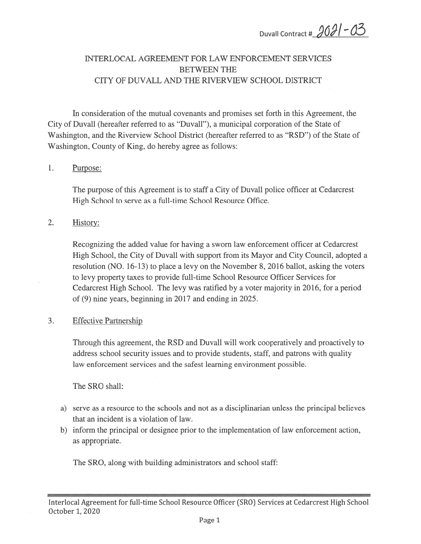Duvall Contract #  $2021 - 03$ 

# INTERLOCAL AGREEMENT FOR LAW ENFORCEMENT SERVICES BETWEEN THE CITY OF DUVALL AND THE RIVERVIEW SCHOOL DISTRICT

In consideration of the mutual covenants and promises set forth in this Agreement, the City of Duvall (hereafter referred to as "Duvall"), <sup>a</sup> municipal corporation of the State of Washington, and the Riverview School District (hereafter referred to as "RSD") of the State of Washington, County of King, do hereby agree as follows:

#### 1. Purpose:

The purpose of this Agreement is to staff <sup>a</sup> City of Duvall police officer at Cedarcrest High School to serve as <sup>a</sup> full-time School Resource Office.

#### 2. History:

Recognizing the added value for having <sup>a</sup> sworn law enforcement officer at Cedarcrest High School, the City of Duvall with suppor<sup>t</sup> from its Mayor and City Council, adopted <sup>a</sup> resolution (NO. 16-13) to place <sup>a</sup> levy on the November 8, 2016 ballot, asking the voters to levy property taxes to provide full-time School Resource Officer Services for Cedarcrest High School. The levy was ratified by <sup>a</sup> voter majority in 2016, for <sup>a</sup> period of (9) nine years, beginning in 2017 and ending in 2025.

#### 3. Effective Partnership

Through this agreement, the RSD and Duvall will work cooperatively and proactively to address school security issues and to provide students, staff, and patrons with quality law enforcement services and the safest learning environment possible.

The SRO shall:

- a) serve as <sup>a</sup> resource to the schools and not as <sup>a</sup> disciplinarian unless the principal believes that an incident is <sup>a</sup> violation of law.
- b) inform the principal or designee prior to the implementation of law enforcement action, as appropriate.

The SRO, along with building administrators and school staff: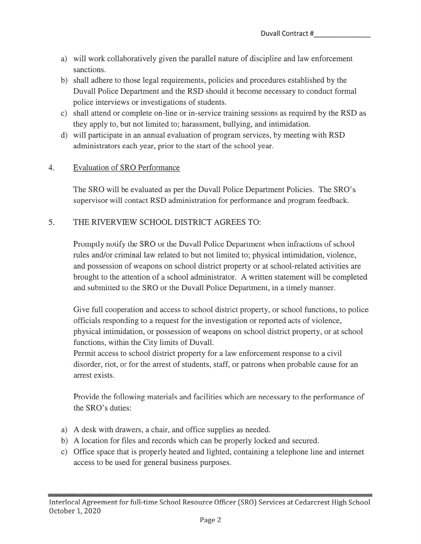- a) will work collaboratively given the parallel nature of discipline and law enforcement sanctions.
- b) shall adhere to those legal requirements, policies and procedures established by the Duvall Police Department and the RSD should it become necessary to conduct formal police interviews or investigations of students.
- c) shall attend or complete on-line or in-service training sessions as required by the RSD as they apply to, but not limited to; harassment, bullying, and intimidation.
- d) will participate in an annual evaluation of program services, by meeting with RSD administrators each year, prior to the start of the school year.

## 4. Evaluation of SRO Performance

The SRO will be evaluated as per the Duvall Police Department Policies. The SRO's supervisor will contact RSD administration for performance and program feedback.

# 5. THE RIVERVIEW SCHOOL DISTRICT AGREES TO:

Promptly notify the SRO or the Duvall Police Department when infractions of school rules and/or criminal law related to but not limited to; physical intimidation, violence, and possession of weapons on school district property or at school-related activities are brought to the attention of <sup>a</sup> school administrator. A written statement will be completed and submitted to the SRO or the Duvall Police Department, in <sup>a</sup> timely manner.

Give full cooperation and access to school district property, or school functions, to police officials responding to <sup>a</sup> reques<sup>t</sup> for the investigation or reported acts of violence, physical intimidation, or possession of weapons on school district property, or at school functions, within the City limits of Duvall.

Permit access to school district property for <sup>a</sup> law enforcement response to <sup>a</sup> civil disorder, riot, or for the arrest of students, staff, or patrons when probable cause for an arrest exists.

Provide the following materials and facilities which are necessary to the performance of the SRO's duties:

- a) A desk with drawers, <sup>a</sup> chair, and office supplies as needed.
- b) A location for files and records which can be properly locked and secured.
- c) Office space that is properly heated and lighted, containing <sup>a</sup> telephone line and internet access to be used for general business purposes.

- - -ZEE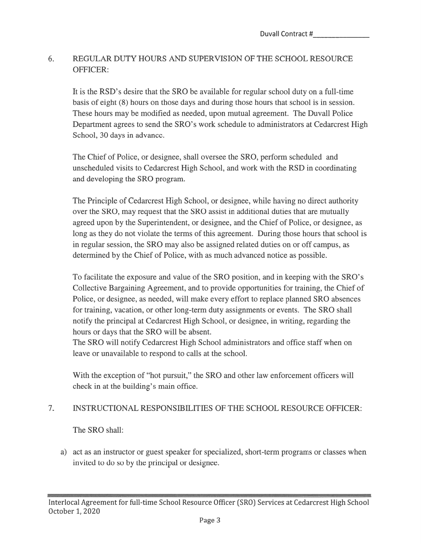# 6. REGULAR DUTY HOURS AND SUPERVISION OF THE SCHOOL RESOURCE OFFICER:

It is the RSD's desire that the SRO be available for regular school duty on <sup>a</sup> full-time basis of eight (8) hours on those days and during those hours that school is in session. These hours may be modified as needed, upon mutual agreement. The Duvall Police Department agrees to send the SRO's work schedule to administrators at Cedarcrest High School, 30 days in advance.

The Chief of Police, or designee, shall oversee the SRO, perform scheduled and unscheduled visits to Cedarcrest High School, and work with the RSD in coordinating and developing the SRO program.

The Principle of Cedarcrest High School, or designee, while having no direct authority over the SRO, may reques<sup>t</sup> that the SRO assist in additional duties that are mutually agreed upon by the Superintendent, or designee, and the Chief of Police, or designee, as long as they do not violate the terms of this agreement. During those hours that school is in regular session, the SRO may also be assigned related duties on or off campus, as determined by the Chief of Police, with as much advanced notice as possible.

To facilitate the exposure and value of the SRO position, and in keeping with the SRO' <sup>s</sup> Collective Bargaining Agreement, and to provide opportunities for training, the Chief of Police, or designee, as needed, will make every effort to replace planned SRO absences for training, vacation, or other long-term duty assignments or events. The SRO shall notify the principal at Cedarcrest High School, or designee, in writing, regarding the hours or days that the SRO will be absent.

The SRO will notify Cedarcrest High School administrators and office staff when on leave or unavailable to respond to calls at the school.

With the exception of "hot pursuit," the SRO and other law enforcement officers will check in at the building's main office.

## 7. INSTRUCTIONAL RESPONSIBILITIES OF THE SCHOOL RESOURCE OFFICER:

The SRO shall:

a) act as an instructor or gues<sup>t</sup> speaker for specialized, short-term programs or classes when invited to do so by the principal or designee.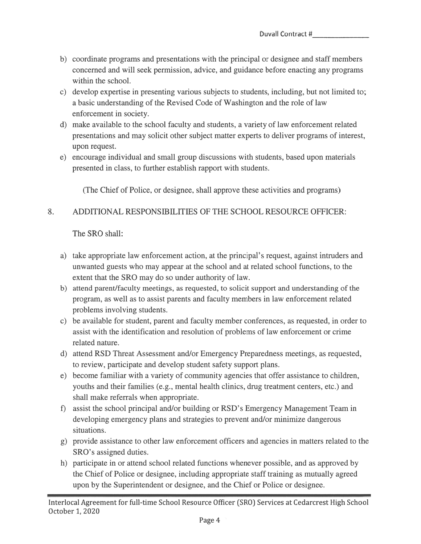- 5) coordinate programs and presentations with the principal or designee and staff members concerned and will seek permission, advice, and guidance before enacting any programs within the school.
- c) develop expertise in presenting various subjects to students, including, but not limited to; <sup>a</sup> basic understanding of the Revised Code of Washington and the role of law enforcement in society.
- d) make available to the school faculty and students, <sup>a</sup> variety of law enforcement related presentations and may solicit other subject matter experts to deliver programs of interest, upon request.
- e) encourage individual and small group discussions with students, based upon materials presented in class, to further establish rappor<sup>t</sup> with students.

(The Chief of Police, or designee, shall approve these activities and programs)

# 8. ADDITIONAL RESPONSIBILITIES OF THE SCHOOL RESOURCE OFFICER:

The SRO shall:

- a) take appropriate law enforcement action, at the principal's request, against intruders and unwanted guests who may appear at the school and at related school functions, to the extent that the SRO may do so under authority of law.
- b) attend parent/faculty meetings, as requested, to solicit suppor<sup>t</sup> and understanding of the program, as well as to assist parents and faculty members in law enforcement related problems involving students.
- c) be available for student, paren<sup>t</sup> and faculty member conferences, as requested, in order to assist with the identification and resolution of problems of law enforcement or crime related nature.
- d) attend RSD Threat Assessment and/or Emergency Preparedness meetings, as requested, to review, participate and develop student safety suppor<sup>t</sup> plans.
- e) become familiar with <sup>a</sup> variety of community agencies that offer assistance to children, youths and their families (e.g., mental health clinics, drug treatment centers, etc.) and shall make referrals when appropriate.
- 0 assist the school principal and/or building or RSD's Emergency Management Team in developing emergency plans and strategies to preven<sup>t</sup> and/or minimize dangerous situations.
- g) provide assistance to other law enforcement officers and agencies in matters related to the SRO's assigned duties.
- h) participate in or attend school related functions whenever possible, and as approved by the Chief of Police or designee, including appropriate staff training as mutually agreed upon by the Superintendent or designee, and the Chief or Police or designee.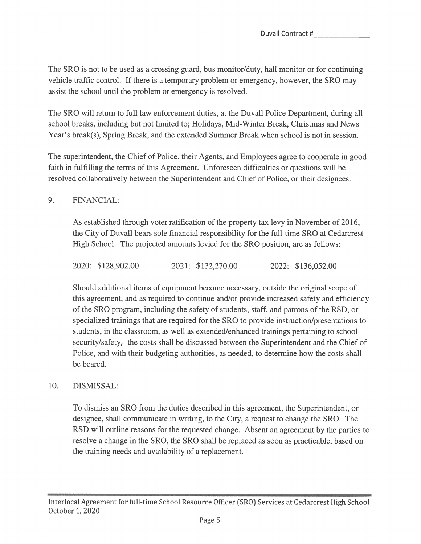The SRO is not to be used as <sup>a</sup> crossing guard, bus monitor/duty, hail monitor or for continuing vehicle traffic control. If there is <sup>a</sup> temporary problem or emergency, however, the SRO may assist the school until the problem or emergency is resolved.

The SRO will return to full law enforcement duties, at the Duvall Police Department, during all school breaks, including but not limited to; Holidays, Mid-Winter Break, Christmas and News Year's break(s), Spring Break, and the extended Summer Break when school is not in session.

The superintendent, the Chief of Police, their Agents, and Employees agree to cooperate in good faith in fulfilling the terms of this Agreement. Unforeseen difficulties or questions will be resolved collaboratively between the Superintendent and Chief of Police, or their designees.

# 9. FINANCIAL:

As established through voter ratification of the property tax levy in November of 2016, the City of Duvall bears sole financial responsibility for the full-time SRO at Cedarcrest High School. The projected amounts levied for the SRO position, are as follows:

2020: \$128,902.00 2021: \$132,270.00 2022: \$136,052.00

Should additional items of equipment become necessary, outside the original scope of this agreement, and as required to continue and/or provide increased safety and efficiency of the SRO program, including the safety of students, staff, and patrons of the RSD, or specialized trainings that are required for the SRO to provide instruction/presentations to students, in the classroom, as well as extended/enhanced trainings pertaining to school security/safety, the costs shall be discussed between the Superintendent and the Chief of Police, and with their budgeting authorities, as needed, to determine how the costs shall be beared.

## 10. DISMISSAL:

To dismiss an SRO from the duties described in this agreement, the Superintendent, or designee, shall communicate in writing, to the City, <sup>a</sup> reques<sup>t</sup> to change the SRO. The RSD will outline reasons for the requested change. Absent an agreemen<sup>t</sup> by the parties to resolve <sup>a</sup> change in the SRO, the SRO shall be replaced as soon as practicable, based on the training needs and availability of <sup>a</sup> replacement.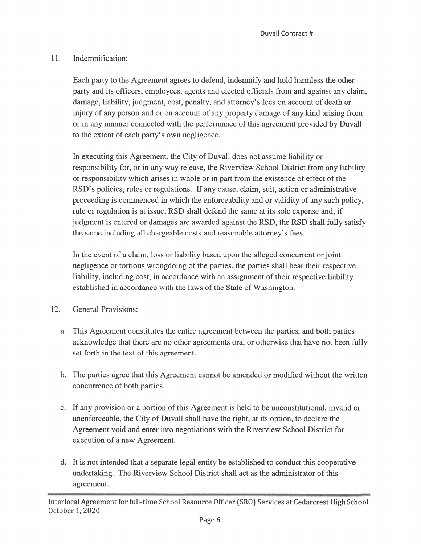# 11. Indemnification:

Each party to the Agreement agrees to defend, indemnify and hold harmless the other party and its officers, employees, agents and elected officials from and against any claim, damage, liability, judgment, cost, penalty, and attorney's fees on account of death or injury of any person and or on account of any property damage of any kind arising from or in any manner connected with the performance of this agreemen<sup>t</sup> provided by Duvall to the extent of each party's own negligence.

In executing this Agreement, the City of Duvall does not assume liability or responsibility for, or in any way release, the Riverview School District from any liability or responsibility which arises in whole or in par<sup>t</sup> from the existence of effect of the RSD's policies, rules or regulations. If any cause, claim, suit, action or administrative proceeding is commenced in which the enforceability and or validity of any such policy, rule or regulation is at issue, RSD shall defend the same at its sole expense and, if judgment is entered or damages are awarded against the RSD, the RSD shall fully satisfy the same including all chargeable costs and reasonable attorney's fees.

In the event of <sup>a</sup> claim, loss or liability based upon the alleged concurrent or joint negligence or tortious wrongdoing of the parties, the parties shall bear their respective liability, including cost, in accordance with an assignment of their respective liability established in accordance with the laws of the State of Washington.

# 12. General Provisions:

- a. This Agreement constitutes the entire agreemen<sup>t</sup> between the parties, and both parties acknowledge that there are no other agreements oral or otherwise that have not been fully set forth in the text of this agreement.
- b. The parties agree that this Agreement cannot be amended or modified without the written concurrence of both parties.
- c. If any provision or <sup>a</sup> portion of this Agreement is held to be unconstitutional, invalid or unenforceable, the City of Duvall shall have the right, at its option, to declare the Agreement void and enter into negotiations with the Riverview School District for execution of <sup>a</sup> new Agreement.
- d. It is not intended that <sup>a</sup> separate legal entity be established to conduct this cooperative undertaking. The Riverview School District shall act as the administrator of this agreement.